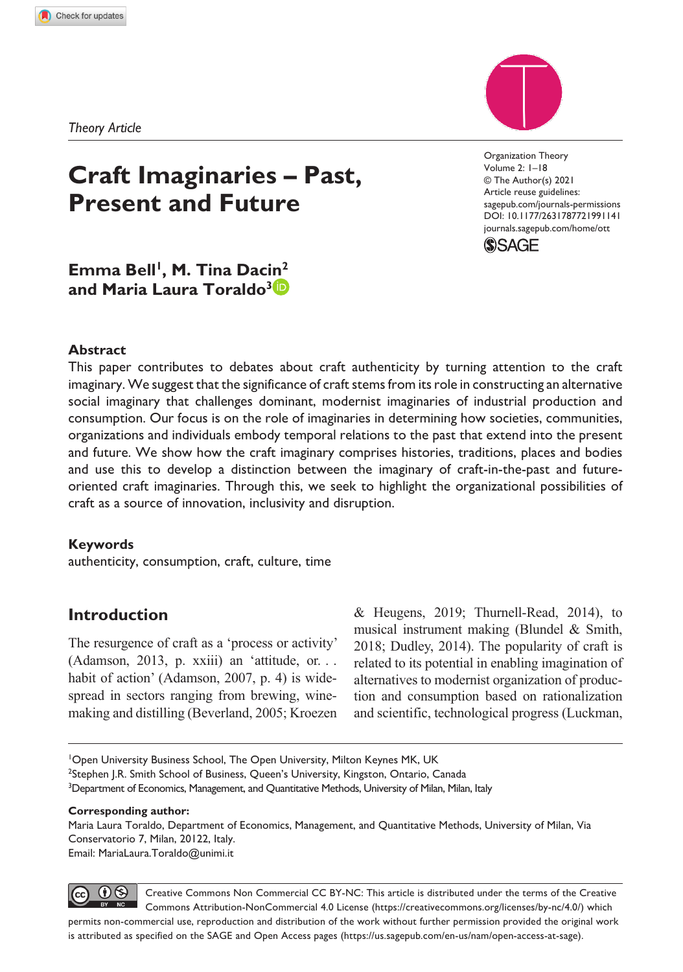*Theory Article*



DOI: 10.1177/2631787721991141 Organization Theory Volume 2: 1–18 © The Author(s) 2021 Article reuse guidelines: [sagepub.com/journals-permissions](https://uk.sagepub.com/en-gb/journals-permissions) [journals.sagepub.com/home/ot](https://journals.sagepub.com/home/ott)t



Emma Bell<sup>1</sup>, M. Tina Dacin<sup>2</sup> **and Maria Laura Toraldo3**

**Present and Future**

**Craft Imaginaries – Past,** 

#### **Abstract**

This paper contributes to debates about craft authenticity by turning attention to the craft imaginary. We suggest that the significance of craft stems from its role in constructing an alternative social imaginary that challenges dominant, modernist imaginaries of industrial production and consumption. Our focus is on the role of imaginaries in determining how societies, communities, organizations and individuals embody temporal relations to the past that extend into the present and future. We show how the craft imaginary comprises histories, traditions, places and bodies and use this to develop a distinction between the imaginary of craft-in-the-past and futureoriented craft imaginaries. Through this, we seek to highlight the organizational possibilities of craft as a source of innovation, inclusivity and disruption.

#### **Keywords**

authenticity, consumption, craft, culture, time

## **Introduction**

The resurgence of craft as a 'process or activity' (Adamson, 2013, p. xxiii) an 'attitude, or. . . habit of action' (Adamson, 2007, p. 4) is widespread in sectors ranging from brewing, winemaking and distilling (Beverland, 2005; Kroezen

 $& Heugens, 2019; Thurnell-Read, 2014), to$ musical instrument making (Blundel & Smith, 2018; Dudley, 2014). The popularity of craft is related to its potential in enabling imagination of alternatives to modernist organization of production and consumption based on rationalization and scientific, technological progress (Luckman,

<sup>1</sup>Open University Business School, The Open University, Milton Keynes MK, UK <sup>2</sup>Stephen J.R. Smith School of Business, Queen's University, Kingston, Ontario, Canada <sup>3</sup>Department of Economics, Management, and Quantitative Methods, University of Milan, Milan, Italy

#### **Corresponding author:**

Maria Laura Toraldo, Department of Economics, Management, and Quantitative Methods, University of Milan, Via Conservatorio 7, Milan, 20122, Italy. Email: [MariaLaura.Toraldo@unimi.it](mailto:MariaLaura.Toraldo@unimi.it)

is attributed as specified on the SAGE and Open Access pages (https://us.sagepub.com/en-us/nam/open-access-at-sage).

 $\bigcirc$ Creative Commons Non Commercial CC BY-NC: This article is distributed under the terms of the Creative Commons Attribution-NonCommercial 4.0 License (https://creativecommons.org/licenses/by-nc/4.0/) which permits non-commercial use, reproduction and distribution of the work without further permission provided the original work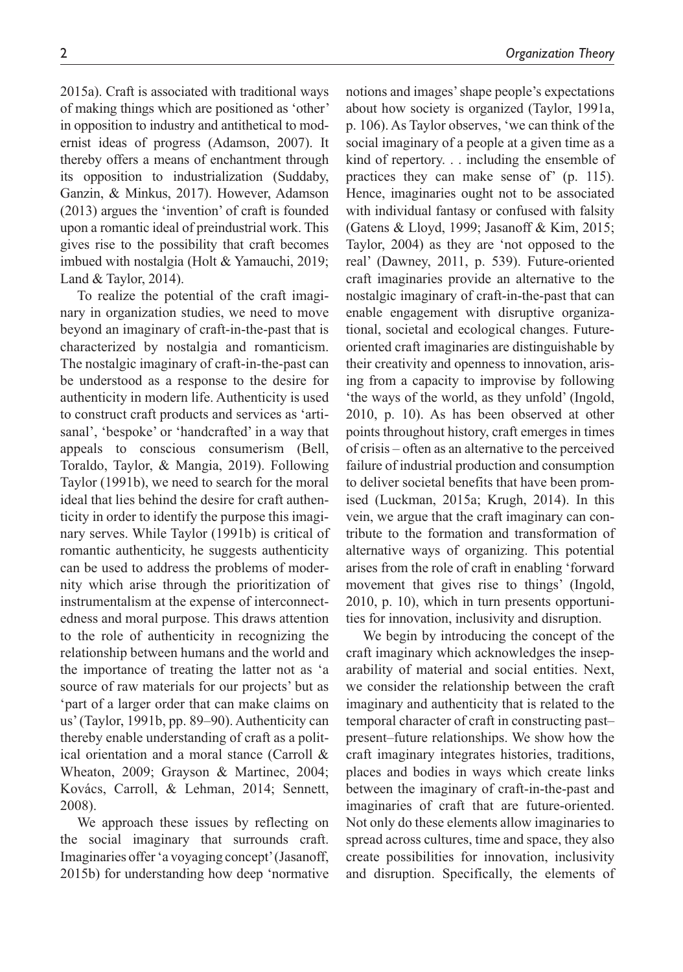2015a). Craft is associated with traditional ways of making things which are positioned as 'other' in opposition to industry and antithetical to modernist ideas of progress (Adamson, 2007). It thereby offers a means of enchantment through its opposition to industrialization (Suddaby, Ganzin, & Minkus, 2017). However, Adamson (2013) argues the 'invention' of craft is founded upon a romantic ideal of preindustrial work. This gives rise to the possibility that craft becomes imbued with nostalgia (Holt & Yamauchi, 2019; Land & Taylor, 2014).

To realize the potential of the craft imaginary in organization studies, we need to move beyond an imaginary of craft-in-the-past that is characterized by nostalgia and romanticism. The nostalgic imaginary of craft-in-the-past can be understood as a response to the desire for authenticity in modern life. Authenticity is used to construct craft products and services as 'artisanal', 'bespoke' or 'handcrafted' in a way that appeals to conscious consumerism (Bell, Toraldo, Taylor, & Mangia, 2019). Following Taylor (1991b), we need to search for the moral ideal that lies behind the desire for craft authenticity in order to identify the purpose this imaginary serves. While Taylor (1991b) is critical of romantic authenticity, he suggests authenticity can be used to address the problems of modernity which arise through the prioritization of instrumentalism at the expense of interconnectedness and moral purpose. This draws attention to the role of authenticity in recognizing the relationship between humans and the world and the importance of treating the latter not as 'a source of raw materials for our projects' but as 'part of a larger order that can make claims on us' (Taylor, 1991b, pp. 89–90). Authenticity can thereby enable understanding of craft as a political orientation and a moral stance (Carroll & Wheaton, 2009; Grayson & Martinec, 2004; Kovács, Carroll, & Lehman, 2014; Sennett, 2008).

We approach these issues by reflecting on the social imaginary that surrounds craft. Imaginaries offer 'a voyaging concept' (Jasanoff, 2015b) for understanding how deep 'normative

notions and images' shape people's expectations about how society is organized (Taylor, 1991a, p. 106). As Taylor observes, 'we can think of the social imaginary of a people at a given time as a kind of repertory. . . including the ensemble of practices they can make sense of' (p. 115). Hence, imaginaries ought not to be associated with individual fantasy or confused with falsity (Gatens & Lloyd, 1999; Jasanoff & Kim, 2015; Taylor, 2004) as they are 'not opposed to the real' (Dawney, 2011, p. 539). Future-oriented craft imaginaries provide an alternative to the nostalgic imaginary of craft-in-the-past that can enable engagement with disruptive organizational, societal and ecological changes. Futureoriented craft imaginaries are distinguishable by their creativity and openness to innovation, arising from a capacity to improvise by following 'the ways of the world, as they unfold' (Ingold, 2010, p. 10). As has been observed at other points throughout history, craft emerges in times of crisis – often as an alternative to the perceived failure of industrial production and consumption to deliver societal benefits that have been promised (Luckman, 2015a; Krugh, 2014). In this vein, we argue that the craft imaginary can contribute to the formation and transformation of alternative ways of organizing. This potential arises from the role of craft in enabling 'forward movement that gives rise to things' (Ingold, 2010, p. 10), which in turn presents opportunities for innovation, inclusivity and disruption.

We begin by introducing the concept of the craft imaginary which acknowledges the inseparability of material and social entities. Next, we consider the relationship between the craft imaginary and authenticity that is related to the temporal character of craft in constructing past– present–future relationships. We show how the craft imaginary integrates histories, traditions, places and bodies in ways which create links between the imaginary of craft-in-the-past and imaginaries of craft that are future-oriented. Not only do these elements allow imaginaries to spread across cultures, time and space, they also create possibilities for innovation, inclusivity and disruption. Specifically, the elements of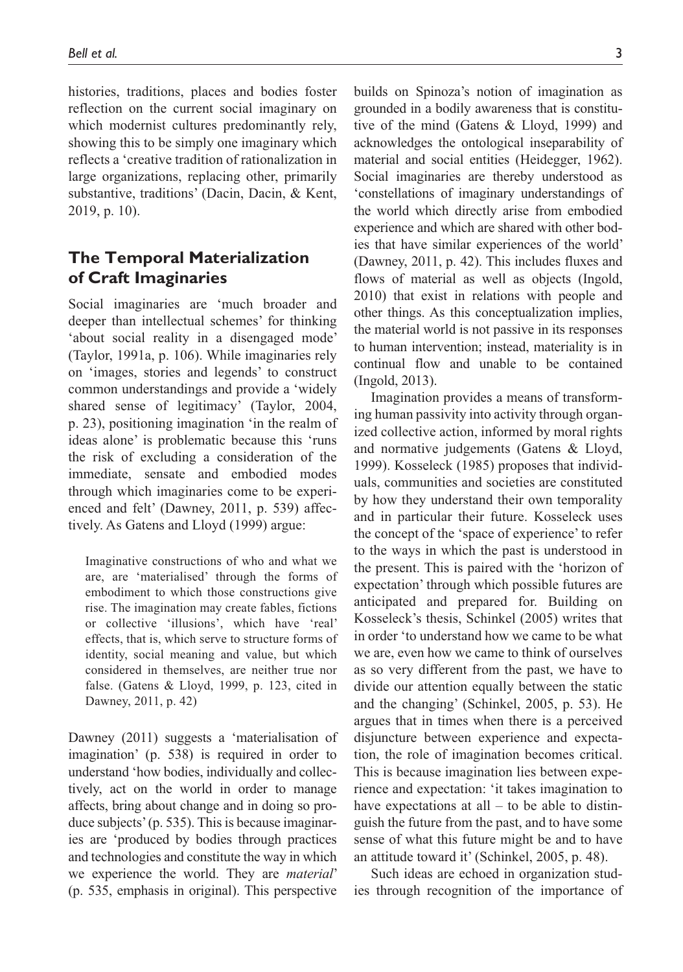histories, traditions, places and bodies foster reflection on the current social imaginary on which modernist cultures predominantly rely, showing this to be simply one imaginary which reflects a 'creative tradition of rationalization in large organizations, replacing other, primarily substantive, traditions' (Dacin, Dacin, & Kent, 2019, p. 10).

## **The Temporal Materialization of Craft Imaginaries**

Social imaginaries are 'much broader and deeper than intellectual schemes' for thinking 'about social reality in a disengaged mode' (Taylor, 1991a, p. 106). While imaginaries rely on 'images, stories and legends' to construct common understandings and provide a 'widely shared sense of legitimacy' (Taylor, 2004, p. 23), positioning imagination 'in the realm of ideas alone' is problematic because this 'runs the risk of excluding a consideration of the immediate, sensate and embodied modes through which imaginaries come to be experienced and felt' (Dawney, 2011, p. 539) affectively. As Gatens and Lloyd (1999) argue:

Imaginative constructions of who and what we are, are 'materialised' through the forms of embodiment to which those constructions give rise. The imagination may create fables, fictions or collective 'illusions', which have 'real' effects, that is, which serve to structure forms of identity, social meaning and value, but which considered in themselves, are neither true nor false. (Gatens & Lloyd, 1999, p. 123, cited in Dawney, 2011, p. 42)

Dawney (2011) suggests a 'materialisation of imagination' (p. 538) is required in order to understand 'how bodies, individually and collectively, act on the world in order to manage affects, bring about change and in doing so produce subjects' (p. 535). This is because imaginaries are 'produced by bodies through practices and technologies and constitute the way in which we experience the world. They are *material*' (p. 535, emphasis in original). This perspective

builds on Spinoza's notion of imagination as grounded in a bodily awareness that is constitutive of the mind (Gatens & Lloyd, 1999) and acknowledges the ontological inseparability of material and social entities (Heidegger, 1962). Social imaginaries are thereby understood as 'constellations of imaginary understandings of the world which directly arise from embodied experience and which are shared with other bodies that have similar experiences of the world' (Dawney, 2011, p. 42). This includes fluxes and flows of material as well as objects (Ingold, 2010) that exist in relations with people and other things. As this conceptualization implies, the material world is not passive in its responses to human intervention; instead, materiality is in continual flow and unable to be contained (Ingold, 2013).

Imagination provides a means of transforming human passivity into activity through organized collective action, informed by moral rights and normative judgements (Gatens & Lloyd, 1999). Kosseleck (1985) proposes that individuals, communities and societies are constituted by how they understand their own temporality and in particular their future. Kosseleck uses the concept of the 'space of experience' to refer to the ways in which the past is understood in the present. This is paired with the 'horizon of expectation' through which possible futures are anticipated and prepared for. Building on Kosseleck's thesis, Schinkel (2005) writes that in order 'to understand how we came to be what we are, even how we came to think of ourselves as so very different from the past, we have to divide our attention equally between the static and the changing' (Schinkel, 2005, p. 53). He argues that in times when there is a perceived disjuncture between experience and expectation, the role of imagination becomes critical. This is because imagination lies between experience and expectation: 'it takes imagination to have expectations at all  $-$  to be able to distinguish the future from the past, and to have some sense of what this future might be and to have an attitude toward it' (Schinkel, 2005, p. 48).

Such ideas are echoed in organization studies through recognition of the importance of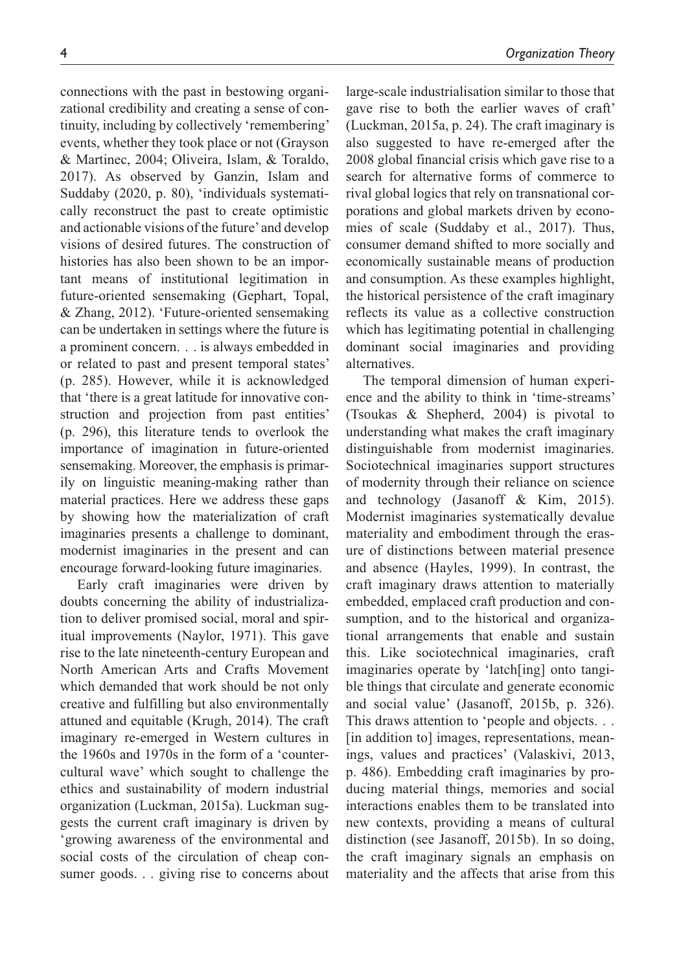connections with the past in bestowing organizational credibility and creating a sense of continuity, including by collectively 'remembering' events, whether they took place or not (Grayson & Martinec, 2004; Oliveira, Islam, & Toraldo, 2017). As observed by Ganzin, Islam and Suddaby (2020, p. 80), 'individuals systematically reconstruct the past to create optimistic and actionable visions of the future' and develop visions of desired futures. The construction of histories has also been shown to be an important means of institutional legitimation in future-oriented sensemaking (Gephart, Topal, & Zhang, 2012). 'Future-oriented sensemaking can be undertaken in settings where the future is a prominent concern. . . is always embedded in or related to past and present temporal states' (p. 285). However, while it is acknowledged that 'there is a great latitude for innovative construction and projection from past entities' (p. 296), this literature tends to overlook the importance of imagination in future-oriented sensemaking. Moreover, the emphasis is primarily on linguistic meaning-making rather than material practices. Here we address these gaps by showing how the materialization of craft imaginaries presents a challenge to dominant, modernist imaginaries in the present and can encourage forward-looking future imaginaries.

Early craft imaginaries were driven by doubts concerning the ability of industrialization to deliver promised social, moral and spiritual improvements (Naylor, 1971). This gave rise to the late nineteenth-century European and North American Arts and Crafts Movement which demanded that work should be not only creative and fulfilling but also environmentally attuned and equitable (Krugh, 2014). The craft imaginary re-emerged in Western cultures in the 1960s and 1970s in the form of a 'countercultural wave' which sought to challenge the ethics and sustainability of modern industrial organization (Luckman, 2015a). Luckman suggests the current craft imaginary is driven by 'growing awareness of the environmental and social costs of the circulation of cheap consumer goods. . . giving rise to concerns about

large-scale industrialisation similar to those that gave rise to both the earlier waves of craft' (Luckman, 2015a, p. 24). The craft imaginary is also suggested to have re-emerged after the 2008 global financial crisis which gave rise to a search for alternative forms of commerce to rival global logics that rely on transnational corporations and global markets driven by economies of scale (Suddaby et al., 2017). Thus, consumer demand shifted to more socially and economically sustainable means of production and consumption. As these examples highlight, the historical persistence of the craft imaginary reflects its value as a collective construction which has legitimating potential in challenging dominant social imaginaries and providing alternatives.

The temporal dimension of human experience and the ability to think in 'time-streams' (Tsoukas & Shepherd, 2004) is pivotal to understanding what makes the craft imaginary distinguishable from modernist imaginaries. Sociotechnical imaginaries support structures of modernity through their reliance on science and technology (Jasanoff & Kim, 2015). Modernist imaginaries systematically devalue materiality and embodiment through the erasure of distinctions between material presence and absence (Hayles, 1999). In contrast, the craft imaginary draws attention to materially embedded, emplaced craft production and consumption, and to the historical and organizational arrangements that enable and sustain this. Like sociotechnical imaginaries, craft imaginaries operate by 'latch[ing] onto tangible things that circulate and generate economic and social value' (Jasanoff, 2015b, p. 326). This draws attention to 'people and objects. . . [in addition to] images, representations, meanings, values and practices' (Valaskivi, 2013, p. 486). Embedding craft imaginaries by producing material things, memories and social interactions enables them to be translated into new contexts, providing a means of cultural distinction (see Jasanoff, 2015b). In so doing, the craft imaginary signals an emphasis on materiality and the affects that arise from this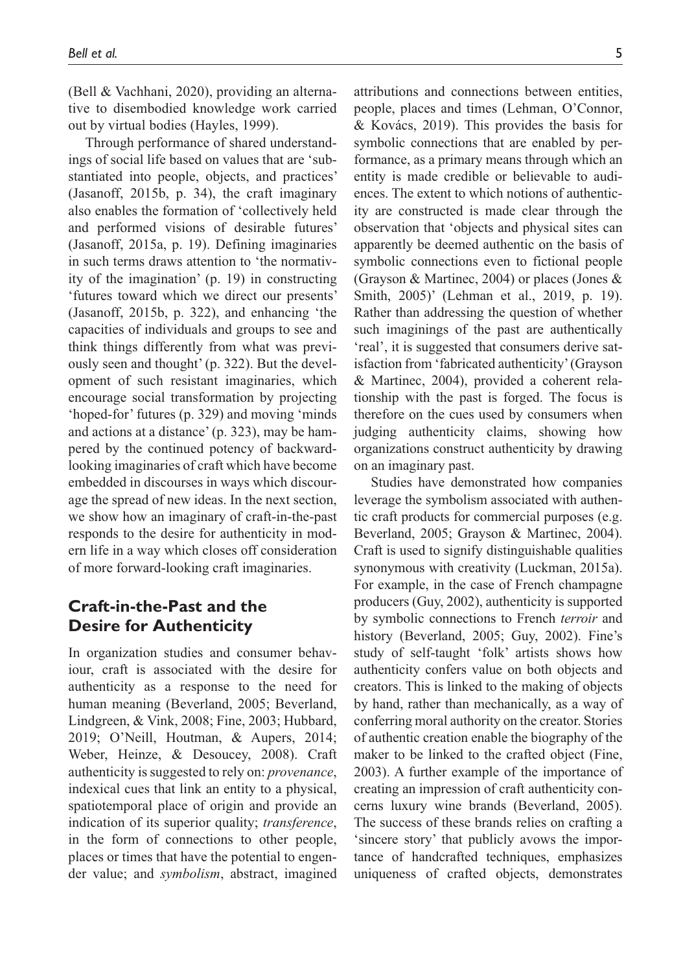(Bell & Vachhani, 2020), providing an alternative to disembodied knowledge work carried out by virtual bodies (Hayles, 1999).

Through performance of shared understandings of social life based on values that are 'substantiated into people, objects, and practices' (Jasanoff, 2015b, p. 34), the craft imaginary also enables the formation of 'collectively held and performed visions of desirable futures' (Jasanoff, 2015a, p. 19). Defining imaginaries in such terms draws attention to 'the normativity of the imagination' (p. 19) in constructing 'futures toward which we direct our presents' (Jasanoff, 2015b, p. 322), and enhancing 'the capacities of individuals and groups to see and think things differently from what was previously seen and thought' (p. 322). But the development of such resistant imaginaries, which encourage social transformation by projecting 'hoped-for' futures (p. 329) and moving 'minds and actions at a distance' (p. 323), may be hampered by the continued potency of backwardlooking imaginaries of craft which have become embedded in discourses in ways which discourage the spread of new ideas. In the next section, we show how an imaginary of craft-in-the-past responds to the desire for authenticity in modern life in a way which closes off consideration of more forward-looking craft imaginaries.

# **Craft-in-the-Past and the Desire for Authenticity**

In organization studies and consumer behaviour, craft is associated with the desire for authenticity as a response to the need for human meaning (Beverland, 2005; Beverland, Lindgreen, & Vink, 2008; Fine, 2003; Hubbard, 2019; O'Neill, Houtman, & Aupers, 2014; Weber, Heinze, & Desoucey, 2008). Craft authenticity is suggested to rely on: *provenance*, indexical cues that link an entity to a physical, spatiotemporal place of origin and provide an indication of its superior quality; *transference*, in the form of connections to other people, places or times that have the potential to engender value; and *symbolism*, abstract, imagined attributions and connections between entities, people, places and times (Lehman, O'Connor, & Kovács, 2019). This provides the basis for symbolic connections that are enabled by performance, as a primary means through which an entity is made credible or believable to audiences. The extent to which notions of authenticity are constructed is made clear through the observation that 'objects and physical sites can apparently be deemed authentic on the basis of symbolic connections even to fictional people (Grayson & Martinec, 2004) or places (Jones & Smith, 2005)' (Lehman et al., 2019, p. 19). Rather than addressing the question of whether such imaginings of the past are authentically 'real', it is suggested that consumers derive satisfaction from 'fabricated authenticity' (Grayson & Martinec, 2004), provided a coherent relationship with the past is forged. The focus is therefore on the cues used by consumers when judging authenticity claims, showing how organizations construct authenticity by drawing on an imaginary past.

Studies have demonstrated how companies leverage the symbolism associated with authentic craft products for commercial purposes (e.g. Beverland, 2005; Grayson & Martinec, 2004). Craft is used to signify distinguishable qualities synonymous with creativity (Luckman, 2015a). For example, in the case of French champagne producers (Guy, 2002), authenticity is supported by symbolic connections to French *terroir* and history (Beverland, 2005; Guy, 2002). Fine's study of self-taught 'folk' artists shows how authenticity confers value on both objects and creators. This is linked to the making of objects by hand, rather than mechanically, as a way of conferring moral authority on the creator. Stories of authentic creation enable the biography of the maker to be linked to the crafted object (Fine, 2003). A further example of the importance of creating an impression of craft authenticity concerns luxury wine brands (Beverland, 2005). The success of these brands relies on crafting a 'sincere story' that publicly avows the importance of handcrafted techniques, emphasizes uniqueness of crafted objects, demonstrates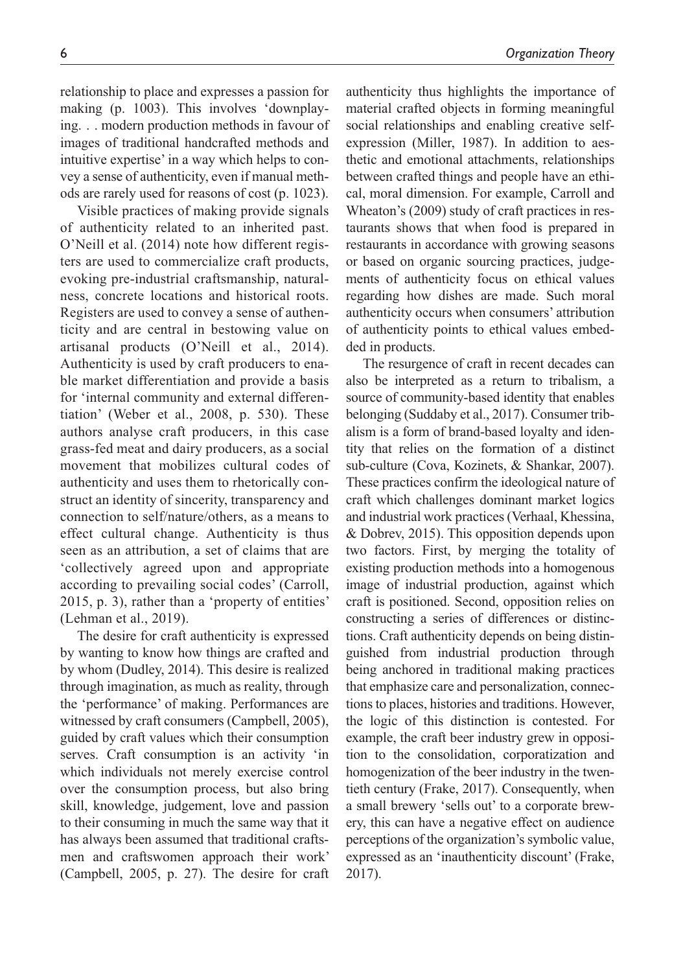relationship to place and expresses a passion for making (p. 1003). This involves 'downplaying. . . modern production methods in favour of images of traditional handcrafted methods and intuitive expertise' in a way which helps to convey a sense of authenticity, even if manual methods are rarely used for reasons of cost (p. 1023).

Visible practices of making provide signals of authenticity related to an inherited past. O'Neill et al. (2014) note how different registers are used to commercialize craft products, evoking pre-industrial craftsmanship, naturalness, concrete locations and historical roots. Registers are used to convey a sense of authenticity and are central in bestowing value on artisanal products (O'Neill et al., 2014). Authenticity is used by craft producers to enable market differentiation and provide a basis for 'internal community and external differentiation' (Weber et al., 2008, p. 530). These authors analyse craft producers, in this case grass-fed meat and dairy producers, as a social movement that mobilizes cultural codes of authenticity and uses them to rhetorically construct an identity of sincerity, transparency and connection to self/nature/others, as a means to effect cultural change. Authenticity is thus seen as an attribution, a set of claims that are 'collectively agreed upon and appropriate according to prevailing social codes' (Carroll, 2015, p. 3), rather than a 'property of entities' (Lehman et al., 2019).

The desire for craft authenticity is expressed by wanting to know how things are crafted and by whom (Dudley, 2014). This desire is realized through imagination, as much as reality, through the 'performance' of making. Performances are witnessed by craft consumers (Campbell, 2005), guided by craft values which their consumption serves. Craft consumption is an activity 'in which individuals not merely exercise control over the consumption process, but also bring skill, knowledge, judgement, love and passion to their consuming in much the same way that it has always been assumed that traditional craftsmen and craftswomen approach their work' (Campbell, 2005, p. 27). The desire for craft

authenticity thus highlights the importance of material crafted objects in forming meaningful social relationships and enabling creative selfexpression (Miller, 1987). In addition to aesthetic and emotional attachments, relationships between crafted things and people have an ethical, moral dimension. For example, Carroll and Wheaton's (2009) study of craft practices in restaurants shows that when food is prepared in restaurants in accordance with growing seasons or based on organic sourcing practices, judgements of authenticity focus on ethical values regarding how dishes are made. Such moral authenticity occurs when consumers' attribution of authenticity points to ethical values embedded in products.

The resurgence of craft in recent decades can also be interpreted as a return to tribalism, a source of community-based identity that enables belonging (Suddaby et al., 2017). Consumer tribalism is a form of brand-based loyalty and identity that relies on the formation of a distinct sub-culture (Cova, Kozinets, & Shankar, 2007). These practices confirm the ideological nature of craft which challenges dominant market logics and industrial work practices (Verhaal, Khessina, & Dobrev, 2015). This opposition depends upon two factors. First, by merging the totality of existing production methods into a homogenous image of industrial production, against which craft is positioned. Second, opposition relies on constructing a series of differences or distinctions. Craft authenticity depends on being distinguished from industrial production through being anchored in traditional making practices that emphasize care and personalization, connections to places, histories and traditions. However, the logic of this distinction is contested. For example, the craft beer industry grew in opposition to the consolidation, corporatization and homogenization of the beer industry in the twentieth century (Frake, 2017). Consequently, when a small brewery 'sells out' to a corporate brewery, this can have a negative effect on audience perceptions of the organization's symbolic value, expressed as an 'inauthenticity discount' (Frake, 2017).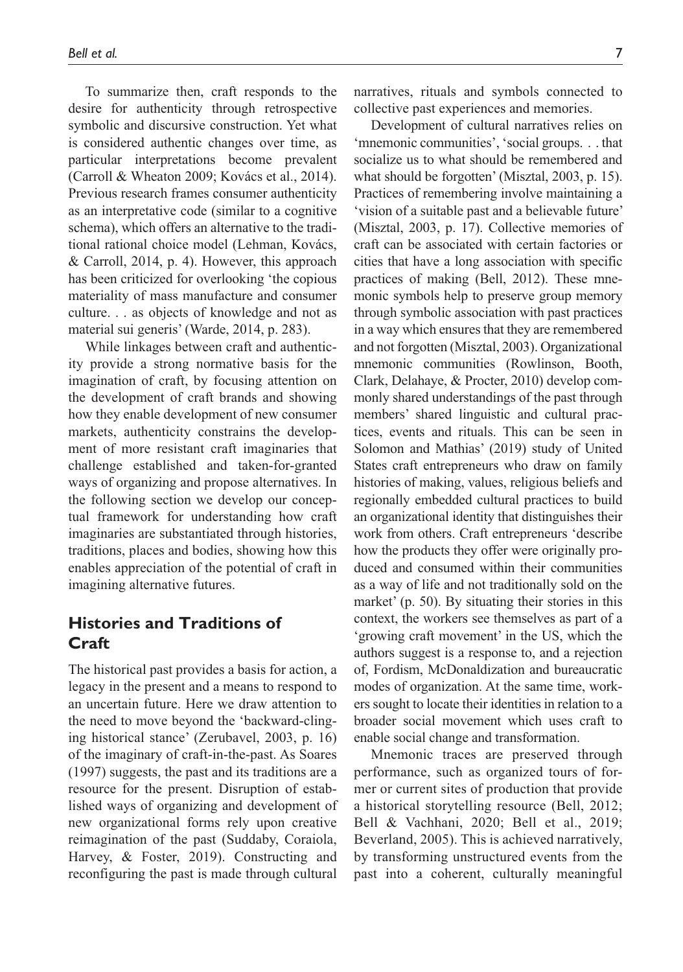To summarize then, craft responds to the desire for authenticity through retrospective symbolic and discursive construction. Yet what is considered authentic changes over time, as particular interpretations become prevalent (Carroll & Wheaton 2009; Kovács et al., 2014). Previous research frames consumer authenticity as an interpretative code (similar to a cognitive schema), which offers an alternative to the traditional rational choice model (Lehman, Kovács, & Carroll, 2014, p. 4). However, this approach has been criticized for overlooking 'the copious materiality of mass manufacture and consumer culture. . . as objects of knowledge and not as material sui generis' (Warde, 2014, p. 283).

While linkages between craft and authenticity provide a strong normative basis for the imagination of craft, by focusing attention on the development of craft brands and showing how they enable development of new consumer markets, authenticity constrains the development of more resistant craft imaginaries that challenge established and taken-for-granted ways of organizing and propose alternatives. In the following section we develop our conceptual framework for understanding how craft imaginaries are substantiated through histories, traditions, places and bodies, showing how this enables appreciation of the potential of craft in imagining alternative futures.

# **Histories and Traditions of Craft**

The historical past provides a basis for action, a legacy in the present and a means to respond to an uncertain future. Here we draw attention to the need to move beyond the 'backward-clinging historical stance' (Zerubavel, 2003, p. 16) of the imaginary of craft-in-the-past. As Soares (1997) suggests, the past and its traditions are a resource for the present. Disruption of established ways of organizing and development of new organizational forms rely upon creative reimagination of the past (Suddaby, Coraiola, Harvey, & Foster, 2019). Constructing and reconfiguring the past is made through cultural

narratives, rituals and symbols connected to collective past experiences and memories.

Development of cultural narratives relies on 'mnemonic communities', 'social groups. . . that socialize us to what should be remembered and what should be forgotten' (Misztal, 2003, p. 15). Practices of remembering involve maintaining a 'vision of a suitable past and a believable future' (Misztal, 2003, p. 17). Collective memories of craft can be associated with certain factories or cities that have a long association with specific practices of making (Bell, 2012). These mnemonic symbols help to preserve group memory through symbolic association with past practices in a way which ensures that they are remembered and not forgotten (Misztal, 2003). Organizational mnemonic communities (Rowlinson, Booth, Clark, Delahaye, & Procter, 2010) develop commonly shared understandings of the past through members' shared linguistic and cultural practices, events and rituals. This can be seen in Solomon and Mathias' (2019) study of United States craft entrepreneurs who draw on family histories of making, values, religious beliefs and regionally embedded cultural practices to build an organizational identity that distinguishes their work from others. Craft entrepreneurs 'describe how the products they offer were originally produced and consumed within their communities as a way of life and not traditionally sold on the market' (p. 50). By situating their stories in this context, the workers see themselves as part of a 'growing craft movement' in the US, which the authors suggest is a response to, and a rejection of, Fordism, McDonaldization and bureaucratic modes of organization. At the same time, workers sought to locate their identities in relation to a broader social movement which uses craft to enable social change and transformation.

Mnemonic traces are preserved through performance, such as organized tours of former or current sites of production that provide a historical storytelling resource (Bell, 2012; Bell & Vachhani, 2020; Bell et al., 2019; Beverland, 2005). This is achieved narratively, by transforming unstructured events from the past into a coherent, culturally meaningful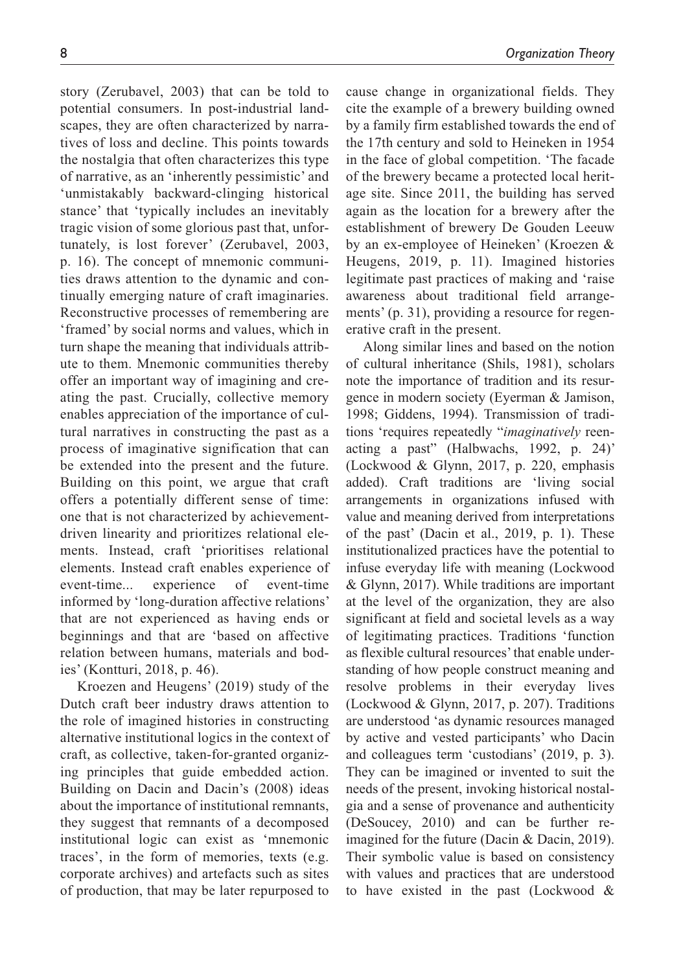story (Zerubavel, 2003) that can be told to potential consumers. In post-industrial landscapes, they are often characterized by narratives of loss and decline. This points towards the nostalgia that often characterizes this type of narrative, as an 'inherently pessimistic' and 'unmistakably backward-clinging historical stance' that 'typically includes an inevitably tragic vision of some glorious past that, unfortunately, is lost forever' (Zerubavel, 2003, p. 16). The concept of mnemonic communities draws attention to the dynamic and continually emerging nature of craft imaginaries. Reconstructive processes of remembering are 'framed' by social norms and values, which in turn shape the meaning that individuals attribute to them. Mnemonic communities thereby offer an important way of imagining and creating the past. Crucially, collective memory enables appreciation of the importance of cultural narratives in constructing the past as a process of imaginative signification that can be extended into the present and the future. Building on this point, we argue that craft offers a potentially different sense of time: one that is not characterized by achievementdriven linearity and prioritizes relational elements. Instead, craft 'prioritises relational elements. Instead craft enables experience of event-time... experience of event-time informed by 'long-duration affective relations' that are not experienced as having ends or beginnings and that are 'based on affective relation between humans, materials and bodies' (Kontturi, 2018, p. 46).

Kroezen and Heugens' (2019) study of the Dutch craft beer industry draws attention to the role of imagined histories in constructing alternative institutional logics in the context of craft, as collective, taken-for-granted organizing principles that guide embedded action. Building on Dacin and Dacin's (2008) ideas about the importance of institutional remnants, they suggest that remnants of a decomposed institutional logic can exist as 'mnemonic traces', in the form of memories, texts (e.g. corporate archives) and artefacts such as sites of production, that may be later repurposed to

cause change in organizational fields. They cite the example of a brewery building owned by a family firm established towards the end of the 17th century and sold to Heineken in 1954 in the face of global competition. 'The facade of the brewery became a protected local heritage site. Since 2011, the building has served again as the location for a brewery after the establishment of brewery De Gouden Leeuw by an ex-employee of Heineken' (Kroezen & Heugens, 2019, p. 11). Imagined histories legitimate past practices of making and 'raise awareness about traditional field arrangements' (p. 31), providing a resource for regenerative craft in the present.

Along similar lines and based on the notion of cultural inheritance (Shils, 1981), scholars note the importance of tradition and its resurgence in modern society (Eyerman & Jamison, 1998; Giddens, 1994). Transmission of traditions 'requires repeatedly "*imaginatively* reenacting a past" (Halbwachs, 1992, p. 24)' (Lockwood & Glynn, 2017, p. 220, emphasis added). Craft traditions are 'living social arrangements in organizations infused with value and meaning derived from interpretations of the past' (Dacin et al., 2019, p. 1). These institutionalized practices have the potential to infuse everyday life with meaning (Lockwood & Glynn, 2017). While traditions are important at the level of the organization, they are also significant at field and societal levels as a way of legitimating practices. Traditions 'function as flexible cultural resources' that enable understanding of how people construct meaning and resolve problems in their everyday lives (Lockwood & Glynn, 2017, p. 207). Traditions are understood 'as dynamic resources managed by active and vested participants' who Dacin and colleagues term 'custodians' (2019, p. 3). They can be imagined or invented to suit the needs of the present, invoking historical nostalgia and a sense of provenance and authenticity (DeSoucey, 2010) and can be further reimagined for the future (Dacin & Dacin, 2019). Their symbolic value is based on consistency with values and practices that are understood to have existed in the past (Lockwood &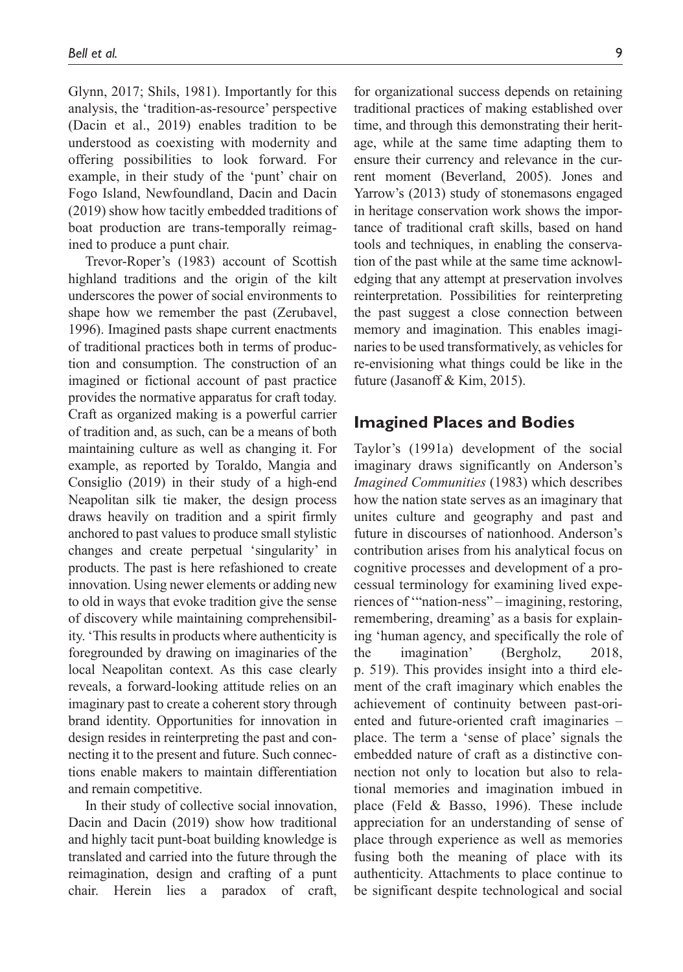Glynn, 2017; Shils, 1981). Importantly for this analysis, the 'tradition-as-resource' perspective (Dacin et al., 2019) enables tradition to be understood as coexisting with modernity and offering possibilities to look forward. For example, in their study of the 'punt' chair on Fogo Island, Newfoundland, Dacin and Dacin (2019) show how tacitly embedded traditions of boat production are trans-temporally reimagined to produce a punt chair.

Trevor-Roper's (1983) account of Scottish highland traditions and the origin of the kilt underscores the power of social environments to shape how we remember the past (Zerubavel, 1996). Imagined pasts shape current enactments of traditional practices both in terms of production and consumption. The construction of an imagined or fictional account of past practice provides the normative apparatus for craft today. Craft as organized making is a powerful carrier of tradition and, as such, can be a means of both maintaining culture as well as changing it. For example, as reported by Toraldo, Mangia and Consiglio (2019) in their study of a high-end Neapolitan silk tie maker, the design process draws heavily on tradition and a spirit firmly anchored to past values to produce small stylistic changes and create perpetual 'singularity' in products. The past is here refashioned to create innovation. Using newer elements or adding new to old in ways that evoke tradition give the sense of discovery while maintaining comprehensibility. 'This results in products where authenticity is foregrounded by drawing on imaginaries of the local Neapolitan context. As this case clearly reveals, a forward-looking attitude relies on an imaginary past to create a coherent story through brand identity. Opportunities for innovation in design resides in reinterpreting the past and connecting it to the present and future. Such connections enable makers to maintain differentiation and remain competitive.

In their study of collective social innovation, Dacin and Dacin (2019) show how traditional and highly tacit punt-boat building knowledge is translated and carried into the future through the reimagination, design and crafting of a punt chair. Herein lies a paradox of craft,

for organizational success depends on retaining traditional practices of making established over time, and through this demonstrating their heritage, while at the same time adapting them to ensure their currency and relevance in the current moment (Beverland, 2005). Jones and Yarrow's (2013) study of stonemasons engaged in heritage conservation work shows the importance of traditional craft skills, based on hand tools and techniques, in enabling the conservation of the past while at the same time acknowledging that any attempt at preservation involves reinterpretation. Possibilities for reinterpreting the past suggest a close connection between memory and imagination. This enables imaginaries to be used transformatively, as vehicles for re-envisioning what things could be like in the future (Jasanoff & Kim, 2015).

### **Imagined Places and Bodies**

Taylor's (1991a) development of the social imaginary draws significantly on Anderson's *Imagined Communities* (1983) which describes how the nation state serves as an imaginary that unites culture and geography and past and future in discourses of nationhood. Anderson's contribution arises from his analytical focus on cognitive processes and development of a processual terminology for examining lived experiences of '"nation-ness" – imagining, restoring, remembering, dreaming' as a basis for explaining 'human agency, and specifically the role of the imagination' (Bergholz, 2018, p. 519). This provides insight into a third element of the craft imaginary which enables the achievement of continuity between past-oriented and future-oriented craft imaginaries – place. The term a 'sense of place' signals the embedded nature of craft as a distinctive connection not only to location but also to relational memories and imagination imbued in place (Feld & Basso, 1996). These include appreciation for an understanding of sense of place through experience as well as memories fusing both the meaning of place with its authenticity. Attachments to place continue to be significant despite technological and social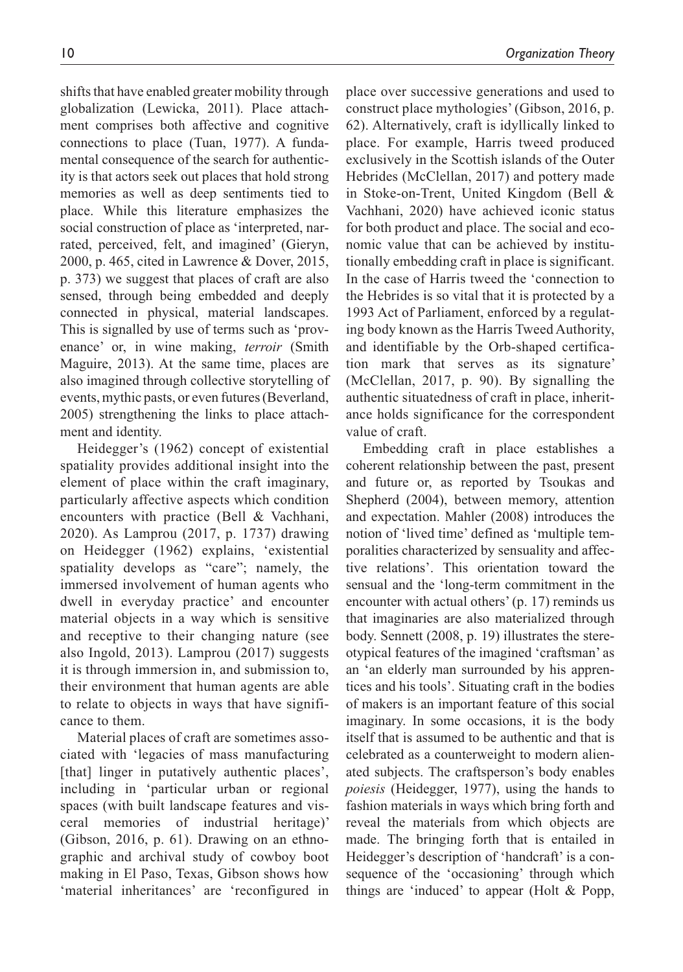shifts that have enabled greater mobility through globalization (Lewicka, 2011). Place attachment comprises both affective and cognitive connections to place (Tuan, 1977). A fundamental consequence of the search for authenticity is that actors seek out places that hold strong memories as well as deep sentiments tied to place. While this literature emphasizes the social construction of place as 'interpreted, narrated, perceived, felt, and imagined' (Gieryn, 2000, p. 465, cited in Lawrence & Dover, 2015, p. 373) we suggest that places of craft are also sensed, through being embedded and deeply connected in physical, material landscapes. This is signalled by use of terms such as 'provenance' or, in wine making, *terroir* (Smith Maguire, 2013). At the same time, places are also imagined through collective storytelling of events, mythic pasts, or even futures (Beverland, 2005) strengthening the links to place attachment and identity.

Heidegger's (1962) concept of existential spatiality provides additional insight into the element of place within the craft imaginary, particularly affective aspects which condition encounters with practice (Bell & Vachhani, 2020). As Lamprou (2017, p. 1737) drawing on Heidegger (1962) explains, 'existential spatiality develops as "care"; namely, the immersed involvement of human agents who dwell in everyday practice' and encounter material objects in a way which is sensitive and receptive to their changing nature (see also Ingold, 2013). Lamprou (2017) suggests it is through immersion in, and submission to, their environment that human agents are able to relate to objects in ways that have significance to them.

Material places of craft are sometimes associated with 'legacies of mass manufacturing [that] linger in putatively authentic places', including in 'particular urban or regional spaces (with built landscape features and visceral memories of industrial heritage)' (Gibson, 2016, p. 61). Drawing on an ethnographic and archival study of cowboy boot making in El Paso, Texas, Gibson shows how 'material inheritances' are 'reconfigured in

place over successive generations and used to construct place mythologies' (Gibson, 2016, p. 62). Alternatively, craft is idyllically linked to place. For example, Harris tweed produced exclusively in the Scottish islands of the Outer Hebrides (McClellan, 2017) and pottery made in Stoke-on-Trent, United Kingdom (Bell & Vachhani, 2020) have achieved iconic status for both product and place. The social and economic value that can be achieved by institutionally embedding craft in place is significant. In the case of Harris tweed the 'connection to the Hebrides is so vital that it is protected by a 1993 Act of Parliament, enforced by a regulating body known as the Harris Tweed Authority, and identifiable by the Orb-shaped certification mark that serves as its signature' (McClellan, 2017, p. 90). By signalling the authentic situatedness of craft in place, inheritance holds significance for the correspondent value of craft.

Embedding craft in place establishes a coherent relationship between the past, present and future or, as reported by Tsoukas and Shepherd (2004), between memory, attention and expectation. Mahler (2008) introduces the notion of 'lived time' defined as 'multiple temporalities characterized by sensuality and affective relations'. This orientation toward the sensual and the 'long-term commitment in the encounter with actual others' (p. 17) reminds us that imaginaries are also materialized through body. Sennett (2008, p. 19) illustrates the stereotypical features of the imagined 'craftsman' as an 'an elderly man surrounded by his apprentices and his tools'. Situating craft in the bodies of makers is an important feature of this social imaginary. In some occasions, it is the body itself that is assumed to be authentic and that is celebrated as a counterweight to modern alienated subjects. The craftsperson's body enables *poiesis* (Heidegger, 1977), using the hands to fashion materials in ways which bring forth and reveal the materials from which objects are made. The bringing forth that is entailed in Heidegger's description of 'handcraft' is a consequence of the 'occasioning' through which things are 'induced' to appear (Holt & Popp,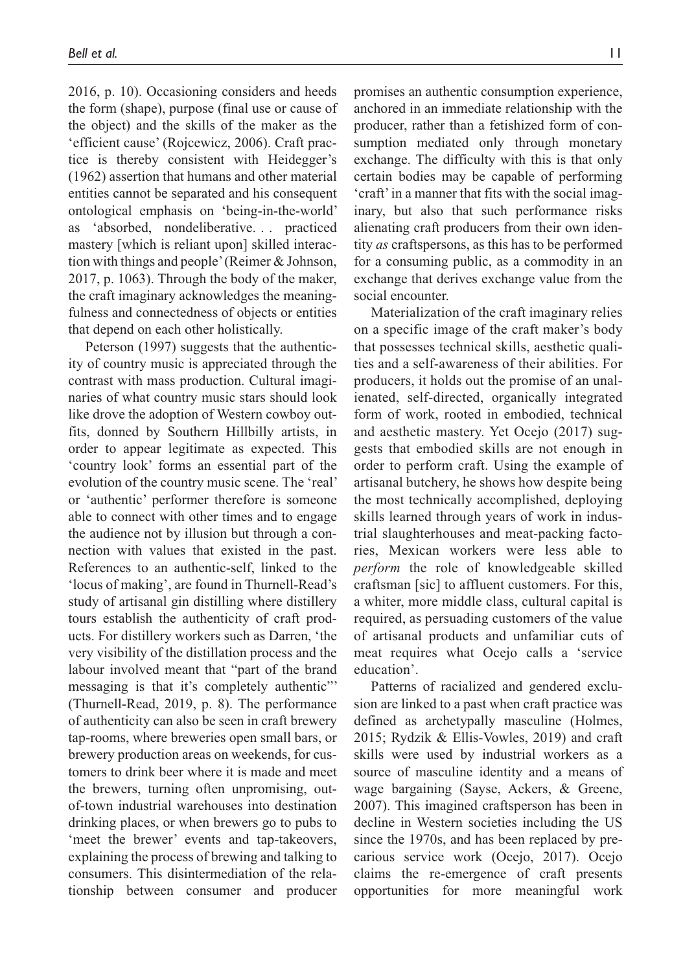2016, p. 10). Occasioning considers and heeds the form (shape), purpose (final use or cause of the object) and the skills of the maker as the 'efficient cause' (Rojcewicz, 2006). Craft practice is thereby consistent with Heidegger's (1962) assertion that humans and other material entities cannot be separated and his consequent ontological emphasis on 'being-in-the-world' as 'absorbed, nondeliberative. . . practiced mastery [which is reliant upon] skilled interaction with things and people' (Reimer & Johnson, 2017, p. 1063). Through the body of the maker, the craft imaginary acknowledges the meaningfulness and connectedness of objects or entities that depend on each other holistically.

Peterson (1997) suggests that the authenticity of country music is appreciated through the contrast with mass production. Cultural imaginaries of what country music stars should look like drove the adoption of Western cowboy outfits, donned by Southern Hillbilly artists, in order to appear legitimate as expected. This 'country look' forms an essential part of the evolution of the country music scene. The 'real' or 'authentic' performer therefore is someone able to connect with other times and to engage the audience not by illusion but through a connection with values that existed in the past. References to an authentic-self, linked to the 'locus of making', are found in Thurnell-Read's study of artisanal gin distilling where distillery tours establish the authenticity of craft products. For distillery workers such as Darren, 'the very visibility of the distillation process and the labour involved meant that "part of the brand messaging is that it's completely authentic"' (Thurnell-Read, 2019, p. 8). The performance of authenticity can also be seen in craft brewery tap-rooms, where breweries open small bars, or brewery production areas on weekends, for customers to drink beer where it is made and meet the brewers, turning often unpromising, outof-town industrial warehouses into destination drinking places, or when brewers go to pubs to 'meet the brewer' events and tap-takeovers, explaining the process of brewing and talking to consumers. This disintermediation of the relationship between consumer and producer promises an authentic consumption experience, anchored in an immediate relationship with the producer, rather than a fetishized form of consumption mediated only through monetary exchange. The difficulty with this is that only certain bodies may be capable of performing 'craft' in a manner that fits with the social imaginary, but also that such performance risks alienating craft producers from their own identity *as* craftspersons, as this has to be performed for a consuming public, as a commodity in an exchange that derives exchange value from the social encounter.

Materialization of the craft imaginary relies on a specific image of the craft maker's body that possesses technical skills, aesthetic qualities and a self-awareness of their abilities. For producers, it holds out the promise of an unalienated, self-directed, organically integrated form of work, rooted in embodied, technical and aesthetic mastery. Yet Ocejo (2017) suggests that embodied skills are not enough in order to perform craft. Using the example of artisanal butchery, he shows how despite being the most technically accomplished, deploying skills learned through years of work in industrial slaughterhouses and meat-packing factories, Mexican workers were less able to *perform* the role of knowledgeable skilled craftsman [sic] to affluent customers. For this, a whiter, more middle class, cultural capital is required, as persuading customers of the value of artisanal products and unfamiliar cuts of meat requires what Ocejo calls a 'service education'.

Patterns of racialized and gendered exclusion are linked to a past when craft practice was defined as archetypally masculine (Holmes, 2015; Rydzik & Ellis-Vowles, 2019) and craft skills were used by industrial workers as a source of masculine identity and a means of wage bargaining (Sayse, Ackers, & Greene, 2007). This imagined craftsperson has been in decline in Western societies including the US since the 1970s, and has been replaced by precarious service work (Ocejo, 2017). Ocejo claims the re-emergence of craft presents opportunities for more meaningful work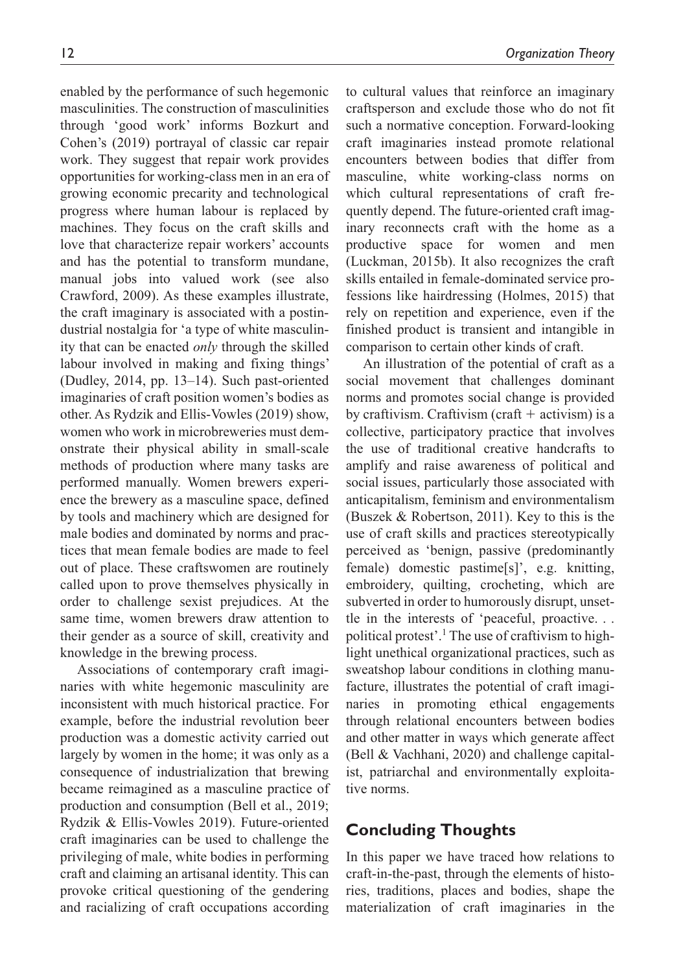12 *Organization Theory* enabled by the performance of such hegemonic masculinities. The construction of masculinities through 'good work' informs Bozkurt and Cohen's (2019) portrayal of classic car repair work. They suggest that repair work provides to cultural values that reinforce an imaginary craftsperson and exclude those who do not fit such a normative conception. Forward-looking craft imaginaries instead promote relational encounters between bodies that differ from masculine, white working-class norms on which cultural representations of craft frequently depend. The future-oriented craft imaginary reconnects craft with the home as a productive space for women and men

opportunities for working-class men in an era of growing economic precarity and technological progress where human labour is replaced by machines. They focus on the craft skills and love that characterize repair workers' accounts and has the potential to transform mundane, manual jobs into valued work (see also Crawford, 2009). As these examples illustrate, the craft imaginary is associated with a postindustrial nostalgia for 'a type of white masculinity that can be enacted *only* through the skilled labour involved in making and fixing things' (Dudley, 2014, pp. 13–14). Such past-oriented imaginaries of craft position women's bodies as other. As Rydzik and Ellis-Vowles (2019) show, women who work in microbreweries must demonstrate their physical ability in small-scale methods of production where many tasks are performed manually. Women brewers experience the brewery as a masculine space, defined by tools and machinery which are designed for male bodies and dominated by norms and practices that mean female bodies are made to feel out of place. These craftswomen are routinely called upon to prove themselves physically in order to challenge sexist prejudices. At the same time, women brewers draw attention to their gender as a source of skill, creativity and knowledge in the brewing process.

Associations of contemporary craft imaginaries with white hegemonic masculinity are inconsistent with much historical practice. For example, before the industrial revolution beer production was a domestic activity carried out largely by women in the home; it was only as a consequence of industrialization that brewing became reimagined as a masculine practice of production and consumption (Bell et al., 2019; Rydzik & Ellis-Vowles 2019). Future-oriented craft imaginaries can be used to challenge the privileging of male, white bodies in performing craft and claiming an artisanal identity. This can provoke critical questioning of the gendering and racializing of craft occupations according rely on repetition and experience, even if the finished product is transient and intangible in comparison to certain other kinds of craft. An illustration of the potential of craft as a social movement that challenges dominant norms and promotes social change is provided by craftivism. Craftivism (craft  $+$  activism) is a collective, participatory practice that involves the use of traditional creative handcrafts to amplify and raise awareness of political and social issues, particularly those associated with anticapitalism, feminism and environmentalism (Buszek & Robertson, 2011). Key to this is the use of craft skills and practices stereotypically perceived as 'benign, passive (predominantly female) domestic pastime[s]', e.g. knitting, embroidery, quilting, crocheting, which are subverted in order to humorously disrupt, unsettle in the interests of 'peaceful, proactive. . . political protest'.<sup>1</sup> The use of craftivism to highlight unethical organizational practices, such as sweatshop labour conditions in clothing manufacture, illustrates the potential of craft imaginaries in promoting ethical engagements through relational encounters between bodies and other matter in ways which generate affect (Bell & Vachhani, 2020) and challenge capitalist, patriarchal and environmentally exploitative norms.

(Luckman, 2015b). It also recognizes the craft skills entailed in female-dominated service professions like hairdressing (Holmes, 2015) that

# **Concluding Thoughts**

In this paper we have traced how relations to craft-in-the-past, through the elements of histories, traditions, places and bodies, shape the materialization of craft imaginaries in the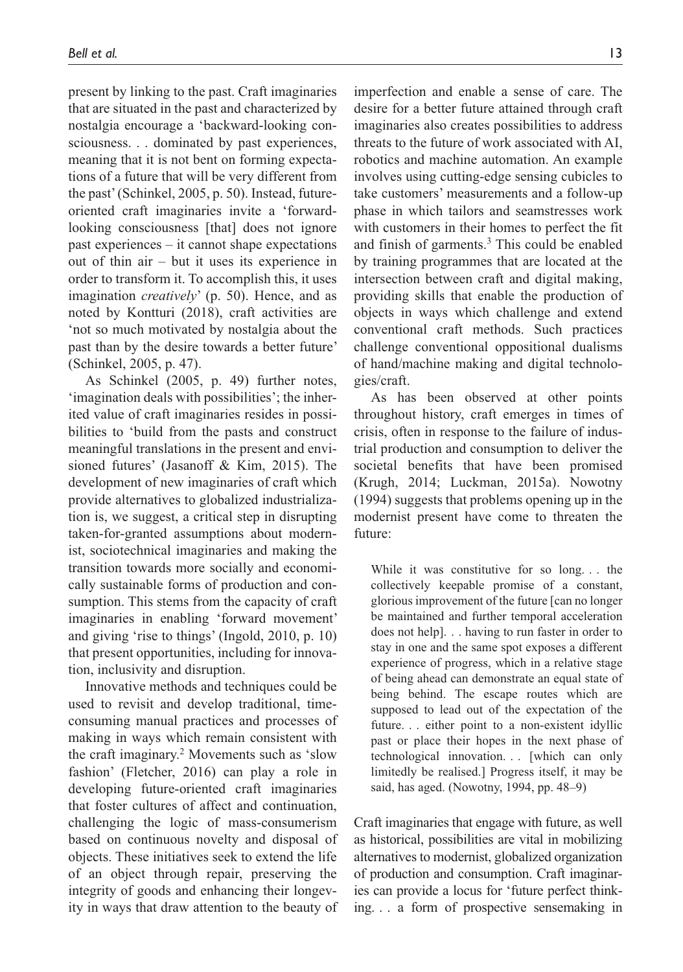present by linking to the past. Craft imaginaries that are situated in the past and characterized by nostalgia encourage a 'backward-looking consciousness. . . dominated by past experiences, meaning that it is not bent on forming expectations of a future that will be very different from the past' (Schinkel, 2005, p. 50). Instead, futureoriented craft imaginaries invite a 'forwardlooking consciousness [that] does not ignore past experiences – it cannot shape expectations out of thin air – but it uses its experience in order to transform it. To accomplish this, it uses imagination *creatively*' (p. 50). Hence, and as noted by Kontturi (2018), craft activities are 'not so much motivated by nostalgia about the past than by the desire towards a better future' (Schinkel, 2005, p. 47).

As Schinkel (2005, p. 49) further notes, 'imagination deals with possibilities'; the inherited value of craft imaginaries resides in possibilities to 'build from the pasts and construct meaningful translations in the present and envisioned futures' (Jasanoff & Kim, 2015). The development of new imaginaries of craft which provide alternatives to globalized industrialization is, we suggest, a critical step in disrupting taken-for-granted assumptions about modernist, sociotechnical imaginaries and making the transition towards more socially and economically sustainable forms of production and consumption. This stems from the capacity of craft imaginaries in enabling 'forward movement' and giving 'rise to things' (Ingold, 2010, p. 10) that present opportunities, including for innovation, inclusivity and disruption.

Innovative methods and techniques could be used to revisit and develop traditional, timeconsuming manual practices and processes of making in ways which remain consistent with the craft imaginary.2 Movements such as 'slow fashion' (Fletcher, 2016) can play a role in developing future-oriented craft imaginaries that foster cultures of affect and continuation, challenging the logic of mass-consumerism based on continuous novelty and disposal of objects. These initiatives seek to extend the life of an object through repair, preserving the integrity of goods and enhancing their longevity in ways that draw attention to the beauty of

imperfection and enable a sense of care. The desire for a better future attained through craft imaginaries also creates possibilities to address threats to the future of work associated with AI, robotics and machine automation. An example involves using cutting-edge sensing cubicles to take customers' measurements and a follow-up phase in which tailors and seamstresses work with customers in their homes to perfect the fit and finish of garments.<sup>3</sup> This could be enabled by training programmes that are located at the intersection between craft and digital making, providing skills that enable the production of objects in ways which challenge and extend conventional craft methods. Such practices challenge conventional oppositional dualisms of hand/machine making and digital technologies/craft.

As has been observed at other points throughout history, craft emerges in times of crisis, often in response to the failure of industrial production and consumption to deliver the societal benefits that have been promised (Krugh, 2014; Luckman, 2015a). Nowotny (1994) suggests that problems opening up in the modernist present have come to threaten the future:

While it was constitutive for so long. . . the collectively keepable promise of a constant, glorious improvement of the future [can no longer be maintained and further temporal acceleration does not help]. . . having to run faster in order to stay in one and the same spot exposes a different experience of progress, which in a relative stage of being ahead can demonstrate an equal state of being behind. The escape routes which are supposed to lead out of the expectation of the future. . . either point to a non-existent idyllic past or place their hopes in the next phase of technological innovation. . . [which can only limitedly be realised.] Progress itself, it may be said, has aged. (Nowotny, 1994, pp. 48–9)

Craft imaginaries that engage with future, as well as historical, possibilities are vital in mobilizing alternatives to modernist, globalized organization of production and consumption. Craft imaginaries can provide a locus for 'future perfect thinking. . . a form of prospective sensemaking in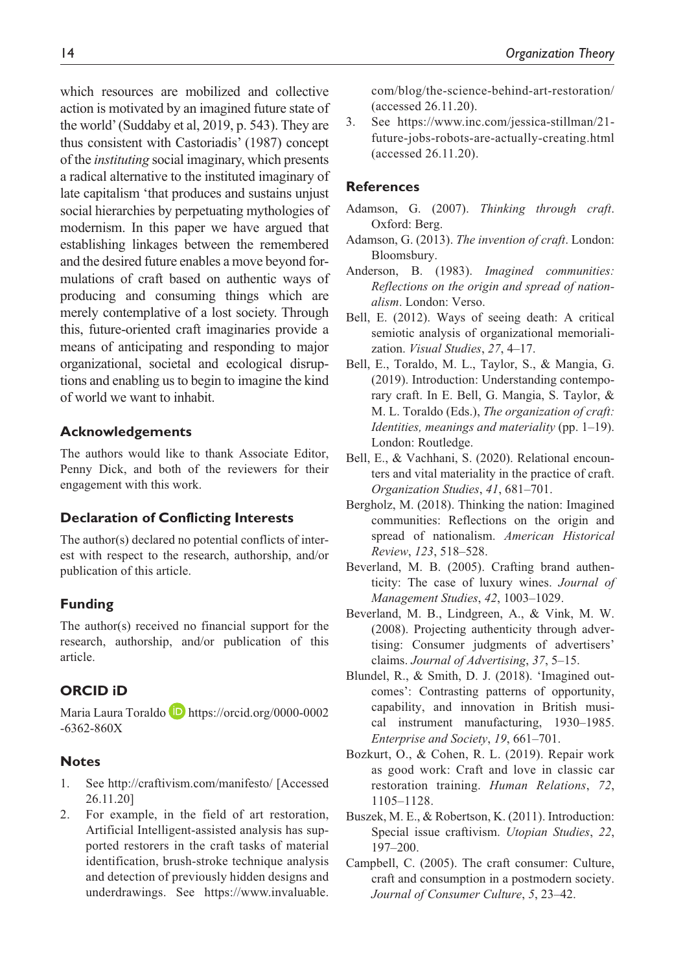which resources are mobilized and collective action is motivated by an imagined future state of the world' (Suddaby et al, 2019, p. 543). They are thus consistent with Castoriadis' (1987) concept of the *instituting* social imaginary, which presents a radical alternative to the instituted imaginary of late capitalism 'that produces and sustains unjust social hierarchies by perpetuating mythologies of modernism. In this paper we have argued that establishing linkages between the remembered and the desired future enables a move beyond formulations of craft based on authentic ways of producing and consuming things which are merely contemplative of a lost society. Through this, future-oriented craft imaginaries provide a means of anticipating and responding to major organizational, societal and ecological disruptions and enabling us to begin to imagine the kind of world we want to inhabit.

### **Acknowledgements**

The authors would like to thank Associate Editor, Penny Dick, and both of the reviewers for their engagement with this work.

### **Declaration of Conflicting Interests**

The author(s) declared no potential conflicts of interest with respect to the research, authorship, and/or publication of this article.

### **Funding**

The author(s) received no financial support for the research, authorship, and/or publication of this article.

### **ORCID iD**

Maria Laura Toraldo **D** [https://orcid.org/0000-0002](https://orcid.org/0000-0002-6362-860X) [-6362-860X](https://orcid.org/0000-0002-6362-860X)

### **Notes**

- 1. See <http://craftivism.com/manifesto/> [Accessed 26.11.20]
- 2. For example, in the field of art restoration, Artificial Intelligent-assisted analysis has supported restorers in the craft tasks of material identification, brush-stroke technique analysis and detection of previously hidden designs and underdrawings. See [https://www.invaluable.](https://www.invaluable.com/blog/the-science-behind-art-restoration/)

[com/blog/the-science-behind-art-restoration/](https://www.invaluable.com/blog/the-science-behind-art-restoration/)  (accessed 26.11.20).

3. See [https://www.inc.com/jessica-stillman/21](https://www.inc.com/jessica-stillman/21-future-jobs-robots-are-actually-creating.html) [future-jobs-robots-are-actually-creating.html](https://www.inc.com/jessica-stillman/21-future-jobs-robots-are-actually-creating.html)  (accessed 26.11.20).

### **References**

- Adamson, G. (2007). *Thinking through craft*. Oxford: Berg.
- Adamson, G. (2013). *The invention of craft*. London: Bloomsbury.
- Anderson, B. (1983). *Imagined communities: Reflections on the origin and spread of nationalism*. London: Verso.
- Bell, E. (2012). Ways of seeing death: A critical semiotic analysis of organizational memorialization. *Visual Studies*, *27*, 4–17.
- Bell, E., Toraldo, M. L., Taylor, S., & Mangia, G. (2019). Introduction: Understanding contemporary craft. In E. Bell, G. Mangia, S. Taylor, & M. L. Toraldo (Eds.), *The organization of craft: Identities, meanings and materiality* (pp. 1–19). London: Routledge.
- Bell, E., & Vachhani, S. (2020). Relational encounters and vital materiality in the practice of craft. *Organization Studies*, *41*, 681–701.
- Bergholz, M. (2018). Thinking the nation: Imagined communities: Reflections on the origin and spread of nationalism. *American Historical Review*, *123*, 518–528.
- Beverland, M. B. (2005). Crafting brand authenticity: The case of luxury wines. *Journal of Management Studies*, *42*, 1003–1029.
- Beverland, M. B., Lindgreen, A., & Vink, M. W. (2008). Projecting authenticity through advertising: Consumer judgments of advertisers' claims. *Journal of Advertising*, *37*, 5–15.
- Blundel, R., & Smith, D. J. (2018). 'Imagined outcomes': Contrasting patterns of opportunity, capability, and innovation in British musical instrument manufacturing, 1930–1985. *Enterprise and Society*, *19*, 661–701.
- Bozkurt, O., & Cohen, R. L. (2019). Repair work as good work: Craft and love in classic car restoration training. *Human Relations*, *72*, 1105–1128.
- Buszek, M. E., & Robertson, K. (2011). Introduction: Special issue craftivism. *Utopian Studies*, *22*, 197–200.
- Campbell, C. (2005). The craft consumer: Culture, craft and consumption in a postmodern society. *Journal of Consumer Culture*, *5*, 23–42.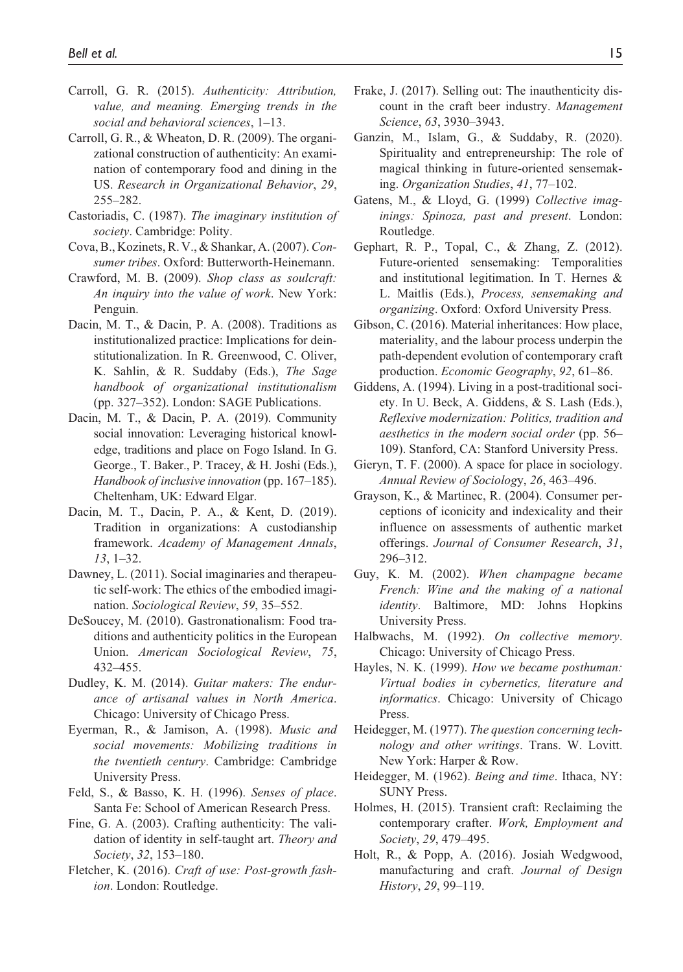- Carroll, G. R. (2015). *Authenticity: Attribution, value, and meaning. Emerging trends in the social and behavioral sciences*, 1–13.
- Carroll, G. R., & Wheaton, D. R. (2009). The organizational construction of authenticity: An examination of contemporary food and dining in the US. *Research in Organizational Behavior*, *29*, 255–282.
- Castoriadis, C. (1987). *The imaginary institution of society*. Cambridge: Polity.
- Cova, B., Kozinets, R. V., & Shankar, A. (2007). *Consumer tribes*. Oxford: Butterworth-Heinemann.
- Crawford, M. B. (2009). *Shop class as soulcraft: An inquiry into the value of work*. New York: Penguin.
- Dacin, M. T., & Dacin, P. A. (2008). Traditions as institutionalized practice: Implications for deinstitutionalization. In R. Greenwood, C. Oliver, K. Sahlin, & R. Suddaby (Eds.), *The Sage handbook of organizational institutionalism* (pp. 327–352). London: SAGE Publications.
- Dacin, M. T., & Dacin, P. A. (2019). Community social innovation: Leveraging historical knowledge, traditions and place on Fogo Island. In G. George., T. Baker., P. Tracey, & H. Joshi (Eds.), *Handbook of inclusive innovation* (pp. 167–185). Cheltenham, UK: Edward Elgar.
- Dacin, M. T., Dacin, P. A., & Kent, D. (2019). Tradition in organizations: A custodianship framework. *Academy of Management Annals*, *13*, 1–32.
- Dawney, L. (2011). Social imaginaries and therapeutic self-work: The ethics of the embodied imagination. *Sociological Review*, *59*, 35–552.
- DeSoucey, M. (2010). Gastronationalism: Food traditions and authenticity politics in the European Union. *American Sociological Review*, *75*, 432–455.
- Dudley, K. M. (2014). *Guitar makers: The endurance of artisanal values in North America*. Chicago: University of Chicago Press.
- Eyerman, R., & Jamison, A. (1998). *Music and social movements: Mobilizing traditions in the twentieth century*. Cambridge: Cambridge University Press.
- Feld, S., & Basso, K. H. (1996). *Senses of place*. Santa Fe: School of American Research Press.
- Fine, G. A. (2003). Crafting authenticity: The validation of identity in self-taught art. *Theory and Society*, *32*, 153–180.
- Fletcher, K. (2016). *Craft of use: Post-growth fashion*. London: Routledge.
- Frake, J. (2017). Selling out: The inauthenticity discount in the craft beer industry. *Management Science*, *63*, 3930–3943.
- Ganzin, M., Islam, G., & Suddaby, R. (2020). Spirituality and entrepreneurship: The role of magical thinking in future-oriented sensemaking. *Organization Studies*, *41*, 77–102.
- Gatens, M., & Lloyd, G. (1999) *Collective imaginings: Spinoza, past and present*. London: Routledge.
- Gephart, R. P., Topal, C., & Zhang, Z. (2012). Future-oriented sensemaking: Temporalities and institutional legitimation. In T. Hernes & L. Maitlis (Eds.), *Process, sensemaking and organizing*. Oxford: Oxford University Press.
- Gibson, C. (2016). Material inheritances: How place, materiality, and the labour process underpin the path-dependent evolution of contemporary craft production. *Economic Geography*, *92*, 61–86.
- Giddens, A. (1994). Living in a post-traditional society. In U. Beck, A. Giddens, & S. Lash (Eds.), *Reflexive modernization: Politics, tradition and aesthetics in the modern social order* (pp. 56– 109). Stanford, CA: Stanford University Press.
- Gieryn, T. F. (2000). A space for place in sociology. *Annual Review of Sociolog*y, *26*, 463–496.
- Grayson, K., & Martinec, R. (2004). Consumer perceptions of iconicity and indexicality and their influence on assessments of authentic market offerings. *Journal of Consumer Research*, *31*, 296–312.
- Guy, K. M. (2002). *When champagne became French: Wine and the making of a national identity*. Baltimore, MD: Johns Hopkins University Press.
- Halbwachs, M. (1992). *On collective memory*. Chicago: University of Chicago Press.
- Hayles, N. K. (1999). *How we became posthuman: Virtual bodies in cybernetics, literature and informatics*. Chicago: University of Chicago Press.
- Heidegger, M. (1977). *The question concerning technology and other writings*. Trans. W. Lovitt. New York: Harper & Row.
- Heidegger, M. (1962). *Being and time*. Ithaca, NY: SUNY Press.
- Holmes, H. (2015). Transient craft: Reclaiming the contemporary crafter. *Work, Employment and Society*, *29*, 479–495.
- Holt, R., & Popp, A. (2016). Josiah Wedgwood, manufacturing and craft. *Journal of Design History*, *29*, 99–119.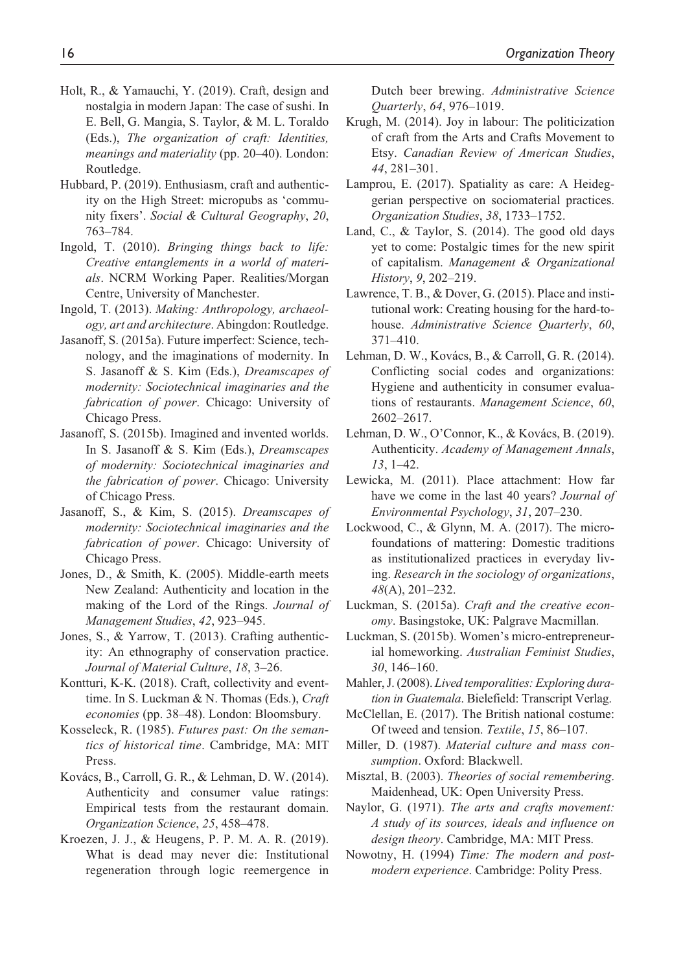- Holt, R., & Yamauchi, Y. (2019). Craft, design and nostalgia in modern Japan: The case of sushi. In E. Bell, G. Mangia, S. Taylor, & M. L. Toraldo (Eds.), *The organization of craft: Identities, meanings and materiality* (pp. 20–40). London: Routledge.
- Hubbard, P. (2019). Enthusiasm, craft and authenticity on the High Street: micropubs as 'community fixers'. *Social & Cultural Geography*, *20*, 763–784.
- Ingold, T. (2010). *Bringing things back to life: Creative entanglements in a world of materials*. NCRM Working Paper. Realities/Morgan Centre, University of Manchester.
- Ingold, T. (2013). *Making: Anthropology, archaeology, art and architecture*. Abingdon: Routledge.
- Jasanoff, S. (2015a). Future imperfect: Science, technology, and the imaginations of modernity. In S. Jasanoff & S. Kim (Eds.), *Dreamscapes of modernity: Sociotechnical imaginaries and the fabrication of power*. Chicago: University of Chicago Press.
- Jasanoff, S. (2015b). Imagined and invented worlds. In S. Jasanoff & S. Kim (Eds.), *Dreamscapes of modernity: Sociotechnical imaginaries and the fabrication of power*. Chicago: University of Chicago Press.
- Jasanoff, S., & Kim, S. (2015). *Dreamscapes of modernity: Sociotechnical imaginaries and the fabrication of power*. Chicago: University of Chicago Press.
- Jones, D., & Smith, K. (2005). Middle-earth meets New Zealand: Authenticity and location in the making of the Lord of the Rings. *Journal of Management Studies*, *42*, 923–945.
- Jones, S., & Yarrow, T. (2013). Crafting authenticity: An ethnography of conservation practice. *Journal of Material Culture*, *18*, 3–26.
- Kontturi, K-K. (2018). Craft, collectivity and eventtime. In S. Luckman & N. Thomas (Eds.), *Craft economies* (pp. 38–48). London: Bloomsbury.
- Kosseleck, R. (1985). *Futures past: On the semantics of historical time*. Cambridge, MA: MIT Press.
- Kovács, B., Carroll, G. R., & Lehman, D. W. (2014). Authenticity and consumer value ratings: Empirical tests from the restaurant domain. *Organization Science*, *25*, 458–478.
- Kroezen, J. J., & Heugens, P. P. M. A. R. (2019). What is dead may never die: Institutional regeneration through logic reemergence in

Dutch beer brewing. *Administrative Science Quarterly*, *64*, 976–1019.

- Krugh, M. (2014). Joy in labour: The politicization of craft from the Arts and Crafts Movement to Etsy. *Canadian Review of American Studies*, *44*, 281–301.
- Lamprou, E. (2017). Spatiality as care: A Heideggerian perspective on sociomaterial practices. *Organization Studies*, *38*, 1733–1752.
- Land, C., & Taylor, S. (2014). The good old days yet to come: Postalgic times for the new spirit of capitalism. *Management & Organizational History*, *9*, 202–219.
- Lawrence, T. B., & Dover, G. (2015). Place and institutional work: Creating housing for the hard-tohouse. *Administrative Science Quarterly*, *60*, 371–410.
- Lehman, D. W., Kovács, B., & Carroll, G. R. (2014). Conflicting social codes and organizations: Hygiene and authenticity in consumer evaluations of restaurants. *Management Science*, *60*, 2602–2617.
- Lehman, D. W., O'Connor, K., & Kovács, B. (2019). Authenticity. *Academy of Management Annals*, *13*, 1–42.
- Lewicka, M. (2011). Place attachment: How far have we come in the last 40 years? *Journal of Environmental Psychology*, *31*, 207–230.
- Lockwood, C., & Glynn, M. A. (2017). The microfoundations of mattering: Domestic traditions as institutionalized practices in everyday living. *Research in the sociology of organizations*, *48*(A), 201–232.
- Luckman, S. (2015a). *Craft and the creative economy*. Basingstoke, UK: Palgrave Macmillan.
- Luckman, S. (2015b). Women's micro-entrepreneurial homeworking. *Australian Feminist Studies*, *30*, 146–160.
- Mahler, J. (2008). *Lived temporalities: Exploring duration in Guatemala*. Bielefield: Transcript Verlag.
- McClellan, E. (2017). The British national costume: Of tweed and tension. *Textile*, *15*, 86–107.
- Miller, D. (1987). *Material culture and mass consumption*. Oxford: Blackwell.
- Misztal, B. (2003). *Theories of social remembering*. Maidenhead, UK: Open University Press.
- Naylor, G. (1971). *The arts and crafts movement: A study of its sources, ideals and influence on design theory*. Cambridge, MA: MIT Press.
- Nowotny, H. (1994) *Time: The modern and postmodern experience*. Cambridge: Polity Press.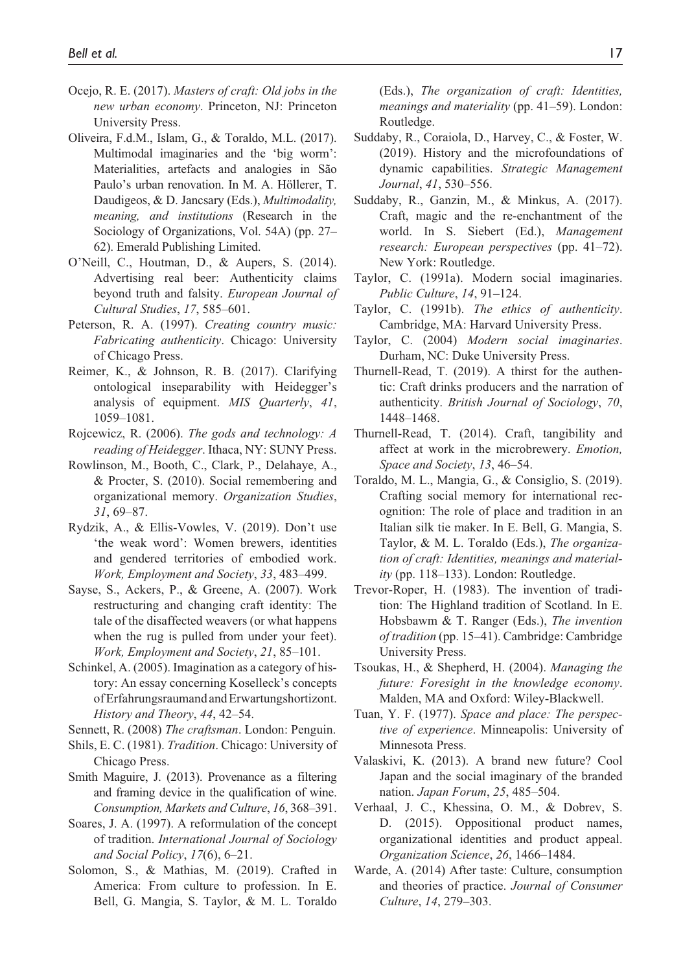- Ocejo, R. E. (2017). *Masters of craft: Old jobs in the new urban economy*. Princeton, NJ: Princeton University Press.
- Oliveira, F.d.M., Islam, G., & Toraldo, M.L. (2017). Multimodal imaginaries and the 'big worm': Materialities, artefacts and analogies in São Paulo's urban renovation. In M. A. Höllerer, T. Daudigeos, & D. Jancsary (Eds.), *Multimodality, meaning, and institutions* (Research in the Sociology of Organizations, Vol. 54A) (pp. 27– 62). Emerald Publishing Limited.
- O'Neill, C., Houtman, D., & Aupers, S. (2014). Advertising real beer: Authenticity claims beyond truth and falsity. *European Journal of Cultural Studies*, *17*, 585–601.
- Peterson, R. A. (1997). *Creating country music: Fabricating authenticity*. Chicago: University of Chicago Press.
- Reimer, K., & Johnson, R. B. (2017). Clarifying ontological inseparability with Heidegger's analysis of equipment. *MIS Quarterly*, *41*, 1059–1081.
- Rojcewicz, R. (2006). *The gods and technology: A reading of Heidegger*. Ithaca, NY: SUNY Press.
- Rowlinson, M., Booth, C., Clark, P., Delahaye, A., & Procter, S. (2010). Social remembering and organizational memory. *Organization Studies*, *31*, 69–87.
- Rydzik, A., & Ellis-Vowles, V. (2019). Don't use 'the weak word': Women brewers, identities and gendered territories of embodied work. *Work, Employment and Society*, *33*, 483–499.
- Sayse, S., Ackers, P., & Greene, A. (2007). Work restructuring and changing craft identity: The tale of the disaffected weavers (or what happens when the rug is pulled from under your feet). *Work, Employment and Society*, *21*, 85–101.
- Schinkel, A. (2005). Imagination as a category of history: An essay concerning Koselleck's concepts of Erfahrungsraumand and Erwartungshortizont. *History and Theory*, *44*, 42–54.
- Sennett, R. (2008) *The craftsman*. London: Penguin.
- Shils, E. C. (1981). *Tradition*. Chicago: University of Chicago Press.
- Smith Maguire, J. (2013). Provenance as a filtering and framing device in the qualification of wine. *Consumption, Markets and Culture*, *16*, 368–391.
- Soares, J. A. (1997). A reformulation of the concept of tradition. *International Journal of Sociology and Social Policy*, *17*(6), 6–21.
- Solomon, S., & Mathias, M. (2019). Crafted in America: From culture to profession. In E. Bell, G. Mangia, S. Taylor, & M. L. Toraldo

(Eds.), *The organization of craft: Identities, meanings and materiality* (pp. 41–59). London: Routledge.

- Suddaby, R., Coraiola, D., Harvey, C., & Foster, W. (2019). History and the microfoundations of dynamic capabilities. *Strategic Management Journal*, *41*, 530–556.
- Suddaby, R., Ganzin, M., & Minkus, A. (2017). Craft, magic and the re-enchantment of the world. In S. Siebert (Ed.), *Management research: European perspectives* (pp. 41–72). New York: Routledge.
- Taylor, C. (1991a). Modern social imaginaries. *Public Culture*, *14*, 91–124.
- Taylor, C. (1991b). *The ethics of authenticity*. Cambridge, MA: Harvard University Press.
- Taylor, C. (2004) *Modern social imaginaries*. Durham, NC: Duke University Press.
- Thurnell-Read, T. (2019). A thirst for the authentic: Craft drinks producers and the narration of authenticity. *British Journal of Sociology*, *70*, 1448–1468.
- Thurnell-Read, T. (2014). Craft, tangibility and affect at work in the microbrewery. *Emotion, Space and Society*, *13*, 46–54.
- Toraldo, M. L., Mangia, G., & Consiglio, S. (2019). Crafting social memory for international recognition: The role of place and tradition in an Italian silk tie maker. In E. Bell, G. Mangia, S. Taylor, & M. L. Toraldo (Eds.), *The organization of craft: Identities, meanings and materiality* (pp. 118–133). London: Routledge.
- Trevor-Roper, H. (1983). The invention of tradition: The Highland tradition of Scotland. In E. Hobsbawm & T. Ranger (Eds.), *The invention of tradition* (pp. 15–41). Cambridge: Cambridge University Press.
- Tsoukas, H., & Shepherd, H. (2004). *Managing the future: Foresight in the knowledge economy*. Malden, MA and Oxford: Wiley-Blackwell.
- Tuan, Y. F. (1977). *Space and place: The perspective of experience*. Minneapolis: University of Minnesota Press.
- Valaskivi, K. (2013). A brand new future? Cool Japan and the social imaginary of the branded nation. *Japan Forum*, *25*, 485–504.
- Verhaal, J. C., Khessina, O. M., & Dobrev, S. D. (2015). Oppositional product names, organizational identities and product appeal. *Organization Science*, *26*, 1466–1484.
- Warde, A. (2014) After taste: Culture, consumption and theories of practice. *Journal of Consumer Culture*, *14*, 279–303.